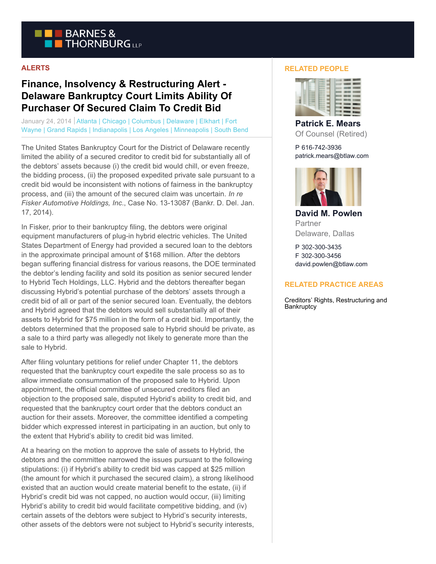

## **ALERTS**

## **Finance, Insolvency & Restructuring Alert - Delaware Bankruptcy Court Limits Ability Of Purchaser Of Secured Claim To Credit Bid**

January 24, 2014 | Atlanta | Chicago | Columbus | Delaware | Elkhart | Fort Wayne | Grand Rapids | Indianapolis | Los Angeles | Minneapolis | South Bend

The United States Bankruptcy Court for the District of Delaware recently limited the ability of a secured creditor to credit bid for substantially all of the debtors' assets because (i) the credit bid would chill, or even freeze, the bidding process, (ii) the proposed expedited private sale pursuant to a credit bid would be inconsistent with notions of fairness in the bankruptcy process, and (iii) the amount of the secured claim was uncertain. *In re Fisker Automotive Holdings, Inc*., Case No. 13-13087 (Bankr. D. Del. Jan. 17, 2014).

In Fisker, prior to their bankruptcy filing, the debtors were original equipment manufacturers of plug-in hybrid electric vehicles. The United States Department of Energy had provided a secured loan to the debtors in the approximate principal amount of \$168 million. After the debtors began suffering financial distress for various reasons, the DOE terminated the debtor's lending facility and sold its position as senior secured lender to Hybrid Tech Holdings, LLC. Hybrid and the debtors thereafter began discussing Hybrid's potential purchase of the debtors' assets through a credit bid of all or part of the senior secured loan. Eventually, the debtors and Hybrid agreed that the debtors would sell substantially all of their assets to Hybrid for \$75 million in the form of a credit bid. Importantly, the debtors determined that the proposed sale to Hybrid should be private, as a sale to a third party was allegedly not likely to generate more than the sale to Hybrid.

After filing voluntary petitions for relief under Chapter 11, the debtors requested that the bankruptcy court expedite the sale process so as to allow immediate consummation of the proposed sale to Hybrid. Upon appointment, the official committee of unsecured creditors filed an objection to the proposed sale, disputed Hybrid's ability to credit bid, and requested that the bankruptcy court order that the debtors conduct an auction for their assets. Moreover, the committee identified a competing bidder which expressed interest in participating in an auction, but only to the extent that Hybrid's ability to credit bid was limited.

At a hearing on the motion to approve the sale of assets to Hybrid, the debtors and the committee narrowed the issues pursuant to the following stipulations: (i) if Hybrid's ability to credit bid was capped at \$25 million (the amount for which it purchased the secured claim), a strong likelihood existed that an auction would create material benefit to the estate, (ii) if Hybrid's credit bid was not capped, no auction would occur, (iii) limiting Hybrid's ability to credit bid would facilitate competitive bidding, and (iv) certain assets of the debtors were subject to Hybrid's security interests, other assets of the debtors were not subject to Hybrid's security interests,

## **RELATED PEOPLE**



**Patrick E. Mears** Of Counsel (Retired)

P 616-742-3936 patrick.mears@btlaw.com



**David M. Powlen** Partner Delaware, Dallas

P 302-300-3435 F 302-300-3456 david.powlen@btlaw.com

## **RELATED PRACTICE AREAS**

Creditors' Rights, Restructuring and **Bankruptcy**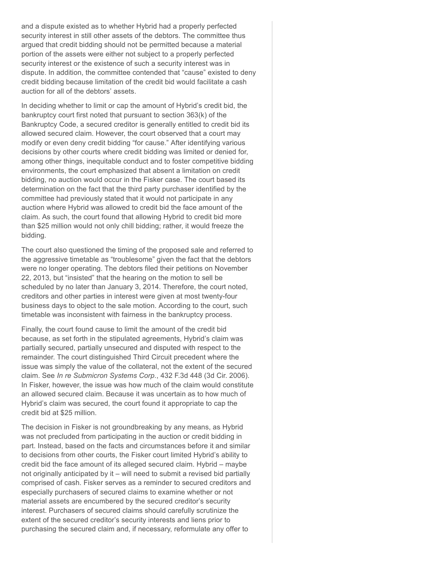and a dispute existed as to whether Hybrid had a properly perfected security interest in still other assets of the debtors. The committee thus argued that credit bidding should not be permitted because a material portion of the assets were either not subject to a properly perfected security interest or the existence of such a security interest was in dispute. In addition, the committee contended that "cause" existed to deny credit bidding because limitation of the credit bid would facilitate a cash auction for all of the debtors' assets.

In deciding whether to limit or cap the amount of Hybrid's credit bid, the bankruptcy court first noted that pursuant to section 363(k) of the Bankruptcy Code, a secured creditor is generally entitled to credit bid its allowed secured claim. However, the court observed that a court may modify or even deny credit bidding "for cause." After identifying various decisions by other courts where credit bidding was limited or denied for, among other things, inequitable conduct and to foster competitive bidding environments, the court emphasized that absent a limitation on credit bidding, no auction would occur in the Fisker case. The court based its determination on the fact that the third party purchaser identified by the committee had previously stated that it would not participate in any auction where Hybrid was allowed to credit bid the face amount of the claim. As such, the court found that allowing Hybrid to credit bid more than \$25 million would not only chill bidding; rather, it would freeze the bidding.

The court also questioned the timing of the proposed sale and referred to the aggressive timetable as "troublesome" given the fact that the debtors were no longer operating. The debtors filed their petitions on November 22, 2013, but "insisted" that the hearing on the motion to sell be scheduled by no later than January 3, 2014. Therefore, the court noted, creditors and other parties in interest were given at most twenty-four business days to object to the sale motion. According to the court, such timetable was inconsistent with fairness in the bankruptcy process.

Finally, the court found cause to limit the amount of the credit bid because, as set forth in the stipulated agreements, Hybrid's claim was partially secured, partially unsecured and disputed with respect to the remainder. The court distinguished Third Circuit precedent where the issue was simply the value of the collateral, not the extent of the secured claim. See *In re Submicron Systems Corp*., 432 F.3d 448 (3d Cir. 2006). In Fisker, however, the issue was how much of the claim would constitute an allowed secured claim. Because it was uncertain as to how much of Hybrid's claim was secured, the court found it appropriate to cap the credit bid at \$25 million.

The decision in Fisker is not groundbreaking by any means, as Hybrid was not precluded from participating in the auction or credit bidding in part. Instead, based on the facts and circumstances before it and similar to decisions from other courts, the Fisker court limited Hybrid's ability to credit bid the face amount of its alleged secured claim. Hybrid – maybe not originally anticipated by it – will need to submit a revised bid partially comprised of cash. Fisker serves as a reminder to secured creditors and especially purchasers of secured claims to examine whether or not material assets are encumbered by the secured creditor's security interest. Purchasers of secured claims should carefully scrutinize the extent of the secured creditor's security interests and liens prior to purchasing the secured claim and, if necessary, reformulate any offer to